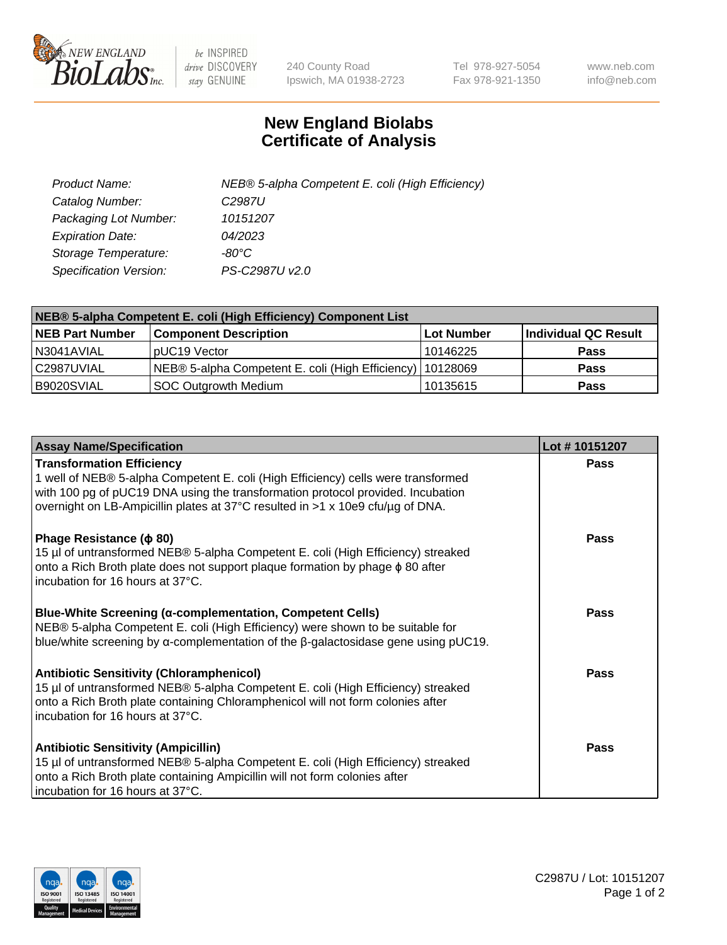

 $be$  INSPIRED drive DISCOVERY stay GENUINE

240 County Road Ipswich, MA 01938-2723 Tel 978-927-5054 Fax 978-921-1350 www.neb.com info@neb.com

## **New England Biolabs Certificate of Analysis**

| Product Name:                 | NEB® 5-alpha Competent E. coli (High Efficiency) |
|-------------------------------|--------------------------------------------------|
| Catalog Number:               | C <sub>2987</sub> U                              |
| Packaging Lot Number:         | 10151207                                         |
| <b>Expiration Date:</b>       | 04/2023                                          |
| Storage Temperature:          | -80°C                                            |
| <b>Specification Version:</b> | PS-C2987U v2.0                                   |

| NEB® 5-alpha Competent E. coli (High Efficiency) Component List |                                                             |            |                      |  |
|-----------------------------------------------------------------|-------------------------------------------------------------|------------|----------------------|--|
| <b>NEB Part Number</b>                                          | <b>Component Description</b>                                | Lot Number | Individual QC Result |  |
| N3041AVIAL                                                      | pUC19 Vector                                                | 10146225   | <b>Pass</b>          |  |
| C2987UVIAL                                                      | NEB® 5-alpha Competent E. coli (High Efficiency)   10128069 |            | <b>Pass</b>          |  |
| B9020SVIAL                                                      | <b>SOC Outgrowth Medium</b>                                 | 10135615   | <b>Pass</b>          |  |

| <b>Assay Name/Specification</b>                                                                                                                                                                                                                                                            | Lot #10151207 |
|--------------------------------------------------------------------------------------------------------------------------------------------------------------------------------------------------------------------------------------------------------------------------------------------|---------------|
| <b>Transformation Efficiency</b><br>1 well of NEB® 5-alpha Competent E. coli (High Efficiency) cells were transformed<br>with 100 pg of pUC19 DNA using the transformation protocol provided. Incubation<br>overnight on LB-Ampicillin plates at 37°C resulted in >1 x 10e9 cfu/µg of DNA. | <b>Pass</b>   |
| Phage Resistance ( $\phi$ 80)<br>15 µl of untransformed NEB® 5-alpha Competent E. coli (High Efficiency) streaked<br>onto a Rich Broth plate does not support plaque formation by phage $\phi$ 80 after<br>Incubation for 16 hours at 37°C.                                                | Pass          |
| <b>Blue-White Screening (α-complementation, Competent Cells)</b><br>NEB® 5-alpha Competent E. coli (High Efficiency) were shown to be suitable for<br>blue/white screening by $\alpha$ -complementation of the $\beta$ -galactosidase gene using pUC19.                                    | Pass          |
| <b>Antibiotic Sensitivity (Chloramphenicol)</b><br>15 µl of untransformed NEB® 5-alpha Competent E. coli (High Efficiency) streaked<br>onto a Rich Broth plate containing Chloramphenicol will not form colonies after<br>incubation for 16 hours at 37°C.                                 | <b>Pass</b>   |
| <b>Antibiotic Sensitivity (Ampicillin)</b><br>15 µl of untransformed NEB® 5-alpha Competent E. coli (High Efficiency) streaked<br>onto a Rich Broth plate containing Ampicillin will not form colonies after<br>incubation for 16 hours at 37°C.                                           | Pass          |